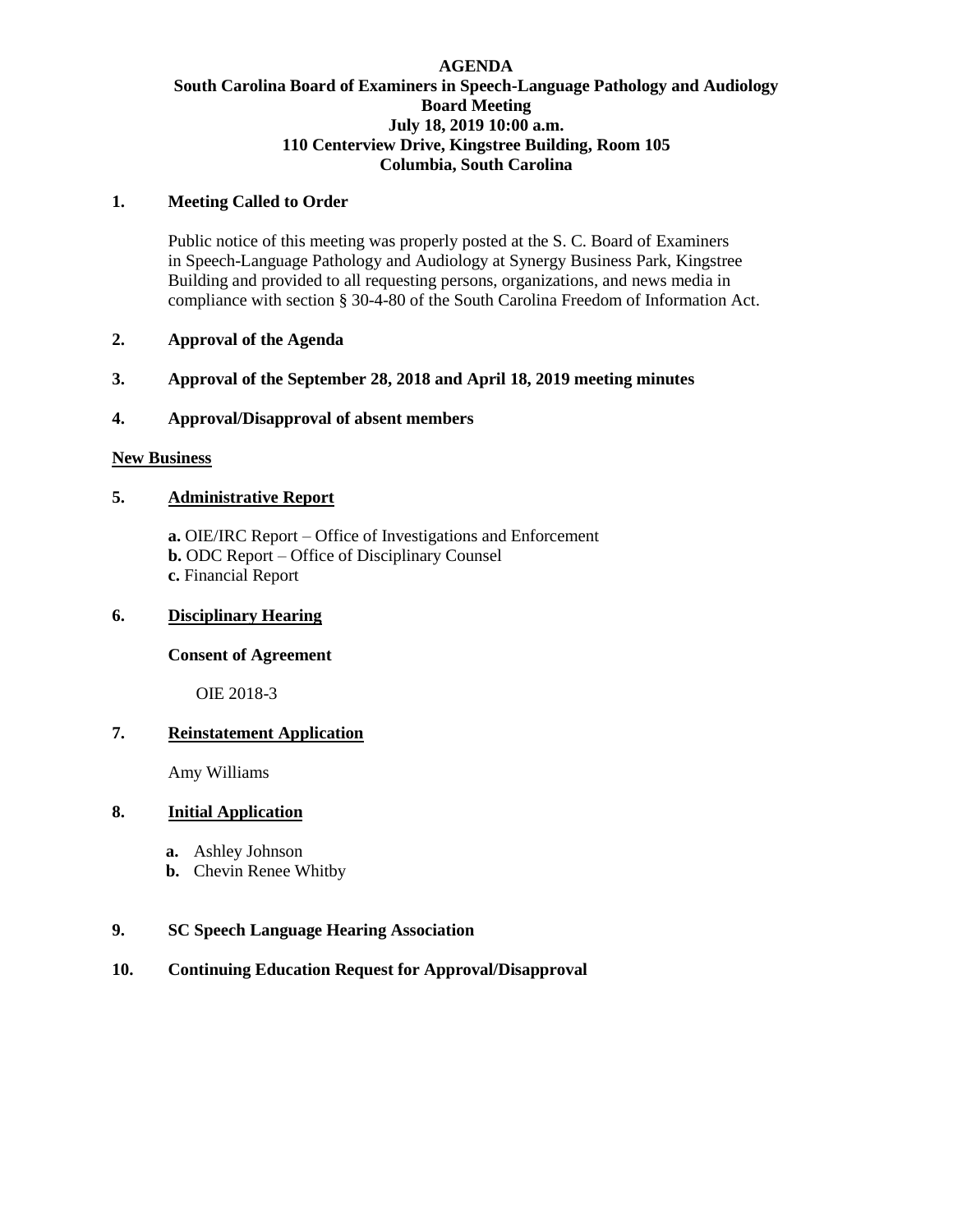## **AGENDA South Carolina Board of Examiners in Speech-Language Pathology and Audiology Board Meeting July 18, 2019 10:00 a.m. 110 Centerview Drive, Kingstree Building, Room 105 Columbia, South Carolina**

#### **1. Meeting Called to Order**

Public notice of this meeting was properly posted at the S. C. Board of Examiners in Speech-Language Pathology and Audiology at Synergy Business Park, Kingstree Building and provided to all requesting persons, organizations, and news media in compliance with section § 30-4-80 of the South Carolina Freedom of Information Act.

## **2. Approval of the Agenda**

## **3. Approval of the September 28, 2018 and April 18, 2019 meeting minutes**

## **4. Approval/Disapproval of absent members**

#### **New Business**

## **5. Administrative Report**

**a.** OIE/IRC Report – Office of Investigations and Enforcement **b.** ODC Report – Office of Disciplinary Counsel **c.** Financial Report

## **6. Disciplinary Hearing**

#### **Consent of Agreement**

OIE 2018-3

## **7. Reinstatement Application**

Amy Williams

## **8. Initial Application**

- **a.** Ashley Johnson
- **b.** Chevin Renee Whitby

#### **9. SC Speech Language Hearing Association**

## **10. Continuing Education Request for Approval/Disapproval**